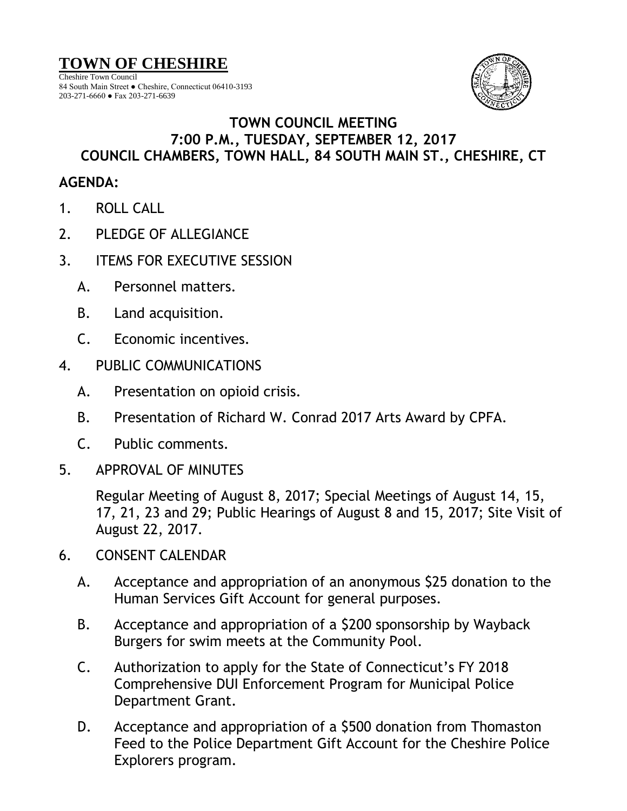## **TOWN OF CHESHIRE**

Cheshire Town Council 84 South Main Street ● Cheshire, Connecticut 06410-3193 203-271-6660 ● Fax 203-271-6639



## **TOWN COUNCIL MEETING 7:00 P.M., TUESDAY, SEPTEMBER 12, 2017 COUNCIL CHAMBERS, TOWN HALL, 84 SOUTH MAIN ST., CHESHIRE, CT**

## **AGENDA:**

- 1. ROLL CALL
- 2. PLEDGE OF ALLEGIANCE
- 3. ITEMS FOR EXECUTIVE SESSION
	- A. Personnel matters.
	- B. Land acquisition.
	- C. Economic incentives.
- 4. PUBLIC COMMUNICATIONS
	- A. Presentation on opioid crisis.
	- B. Presentation of Richard W. Conrad 2017 Arts Award by CPFA.
	- C. Public comments.
- 5. APPROVAL OF MINUTES

Regular Meeting of August 8, 2017; Special Meetings of August 14, 15, 17, 21, 23 and 29; Public Hearings of August 8 and 15, 2017; Site Visit of August 22, 2017.

- 6. CONSENT CALENDAR
	- A. Acceptance and appropriation of an anonymous \$25 donation to the Human Services Gift Account for general purposes.
	- B. Acceptance and appropriation of a \$200 sponsorship by Wayback Burgers for swim meets at the Community Pool.
	- C. Authorization to apply for the State of Connecticut's FY 2018 Comprehensive DUI Enforcement Program for Municipal Police Department Grant.
	- D. Acceptance and appropriation of a \$500 donation from Thomaston Feed to the Police Department Gift Account for the Cheshire Police Explorers program.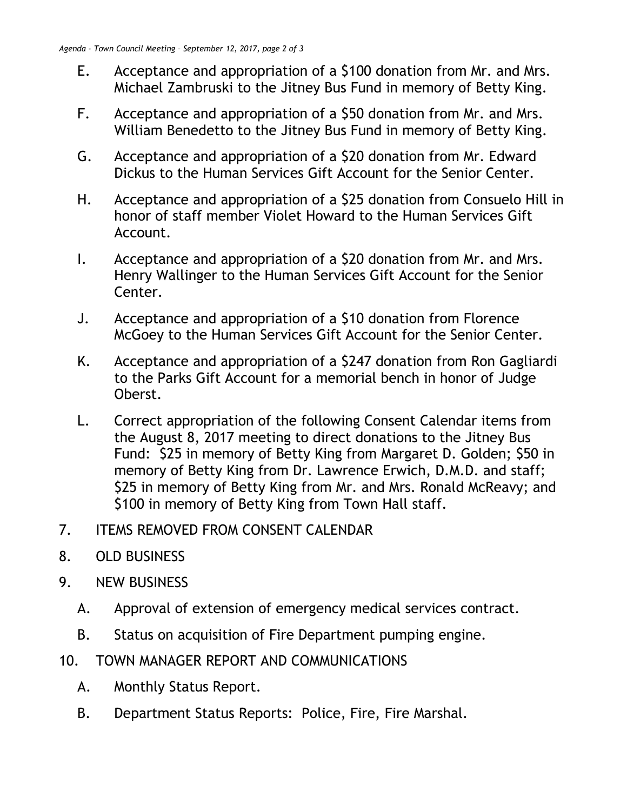- E. Acceptance and appropriation of a \$100 donation from Mr. and Mrs. Michael Zambruski to the Jitney Bus Fund in memory of Betty King.
- F. Acceptance and appropriation of a \$50 donation from Mr. and Mrs. William Benedetto to the Jitney Bus Fund in memory of Betty King.
- G. Acceptance and appropriation of a \$20 donation from Mr. Edward Dickus to the Human Services Gift Account for the Senior Center.
- H. Acceptance and appropriation of a \$25 donation from Consuelo Hill in honor of staff member Violet Howard to the Human Services Gift Account.
- I. Acceptance and appropriation of a \$20 donation from Mr. and Mrs. Henry Wallinger to the Human Services Gift Account for the Senior Center.
- J. Acceptance and appropriation of a \$10 donation from Florence McGoey to the Human Services Gift Account for the Senior Center.
- K. Acceptance and appropriation of a \$247 donation from Ron Gagliardi to the Parks Gift Account for a memorial bench in honor of Judge Oberst.
- L. Correct appropriation of the following Consent Calendar items from the August 8, 2017 meeting to direct donations to the Jitney Bus Fund: \$25 in memory of Betty King from Margaret D. Golden; \$50 in memory of Betty King from Dr. Lawrence Erwich, D.M.D. and staff; \$25 in memory of Betty King from Mr. and Mrs. Ronald McReavy; and \$100 in memory of Betty King from Town Hall staff.
- 7. ITEMS REMOVED FROM CONSENT CALENDAR
- 8. OLD BUSINESS
- 9. NEW BUSINESS
	- A. Approval of extension of emergency medical services contract.
	- B. Status on acquisition of Fire Department pumping engine.
- 10. TOWN MANAGER REPORT AND COMMUNICATIONS
	- A. Monthly Status Report.
	- B. Department Status Reports: Police, Fire, Fire Marshal.